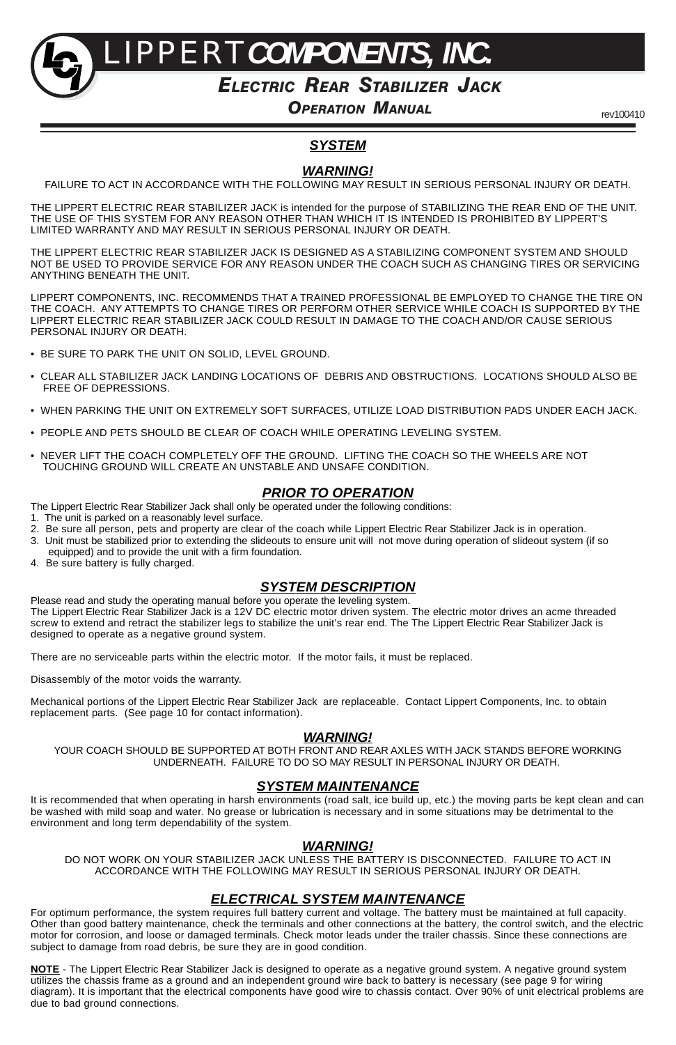LIPPERT*COMPONENTS, INC.*

### *ELECTRIC REAR STABILIZER JACK*

*OPERATION MANUAL*

rev100410

### *SYSTEM*

#### *WARNING!*

FAILURE TO ACT IN ACCORDANCE WITH THE FOLLOWING MAY RESULT IN SERIOUS PERSONAL INJURY OR DEATH.

THE LIPPERT ELECTRIC REAR STABILIZER JACK is intended for the purpose of STABILIZING THE REAR END OF THE UNIT. THE USE OF THIS SYSTEM FOR ANY REASON OTHER THAN WHICH IT IS INTENDED IS PROHIBITED BY LIPPERT'S LIMITED WARRANTY AND MAY RESULT IN SERIOUS PERSONAL INJURY OR DEATH.

THE LIPPERT ELECTRIC REAR STABILIZER JACK IS DESIGNED AS A STABILIZING COMPONENT SYSTEM AND SHOULD NOT BE USED TO PROVIDE SERVICE FOR ANY REASON UNDER THE COACH SUCH AS CHANGING TIRES OR SERVICING ANYTHING BENEATH THE UNIT.

LIPPERT COMPONENTS, INC. RECOMMENDS THAT A TRAINED PROFESSIONAL BE EMPLOYED TO CHANGE THE TIRE ON THE COACH. ANY ATTEMPTS TO CHANGE TIRES OR PERFORM OTHER SERVICE WHILE COACH IS SUPPORTED BY THE LIPPERT ELECTRIC REAR STABILIZER JACK COULD RESULT IN DAMAGE TO THE COACH AND/OR CAUSE SERIOUS PERSONAL INJURY OR DEATH.

- BE SURE TO PARK THE UNIT ON SOLID, LEVEL GROUND.
- CLEAR ALL STABILIZER JACK LANDING LOCATIONS OF DEBRIS AND OBSTRUCTIONS. LOCATIONS SHOULD ALSO BE FREE OF DEPRESSIONS.
- WHEN PARKING THE UNIT ON EXTREMELY SOFT SURFACES, UTILIZE LOAD DISTRIBUTION PADS UNDER EACH JACK.
- PEOPLE AND PETS SHOULD BE CLEAR OF COACH WHILE OPERATING LEVELING SYSTEM.
- NEVER LIFT THE COACH COMPLETELY OFF THE GROUND. LIFTING THE COACH SO THE WHEELS ARE NOT TOUCHING GROUND WILL CREATE AN UNSTABLE AND UNSAFE CONDITION.

#### *PRIOR TO OPERATION*

The Lippert Electric Rear Stabilizer Jack shall only be operated under the following conditions:

- 1. The unit is parked on a reasonably level surface.
- 2. Be sure all person, pets and property are clear of the coach while Lippert Electric Rear Stabilizer Jack is in operation.
- 3. Unit must be stabilized prior to extending the slideouts to ensure unit will not move during operation of slideout system (if so equipped) and to provide the unit with a firm foundation.
- 4. Be sure battery is fully charged.

#### *SYSTEM DESCRIPTION*

Please read and study the operating manual before you operate the leveling system. The Lippert Electric Rear Stabilizer Jack is a 12V DC electric motor driven system. The electric motor drives an acme threaded screw to extend and retract the stabilizer legs to stabilize the unit's rear end. The The Lippert Electric Rear Stabilizer Jack is designed to operate as a negative ground system.

There are no serviceable parts within the electric motor. If the motor fails, it must be replaced.

Disassembly of the motor voids the warranty.

Mechanical portions of the Lippert Electric Rear Stabilizer Jack are replaceable. Contact Lippert Components, Inc. to obtain replacement parts. (See page 10 for contact information).

#### *WARNING!*

YOUR COACH SHOULD BE SUPPORTED AT BOTH FRONT AND REAR AXLES WITH JACK STANDS BEFORE WORKING UNDERNEATH. FAILURE TO DO SO MAY RESULT IN PERSONAL INJURY OR DEATH.

#### *SYSTEM MAINTENANCE*

It is recommended that when operating in harsh environments (road salt, ice build up, etc.) the moving parts be kept clean and can<br>be washed with mild soap and water. No grease or lubrication is necessary and in some situa environment and long term dependability of the system.

#### *WARNING!*

DO NOT WORK ON YOUR STABILIZER JACK UNLESS THE BATTERY IS DISCONNECTED. FAILURE TO ACT IN ACCORDANCE WITH THE FOLLOWING MAY RESULT IN SERIOUS PERSONAL INJURY OR DEATH.

#### *ELECTRICAL SYSTEM MAINTENANCE*

For optimum performance, the system requires full battery current and voltage. The battery must be maintained at full capacity.<br>Other than good battery maintenance, check the terminals and other connections at the battery, motor for corrosion, and loose or damaged terminals. Check motor leads under the trailer chassis. Since these connections are subject to damage from road debris, be sure they are in good condition.

NOTE - The Lippert Electric Rear Stabilizer Jack is designed to operate as a negative ground system. A negative ground system<br>utilizes the chassis frame as a ground and an independent ground wire back to battery is necessa diagram). It is important that the electrical components have good wire to chassis contact. Over 90% of unit electrical problems are due to bad ground connections.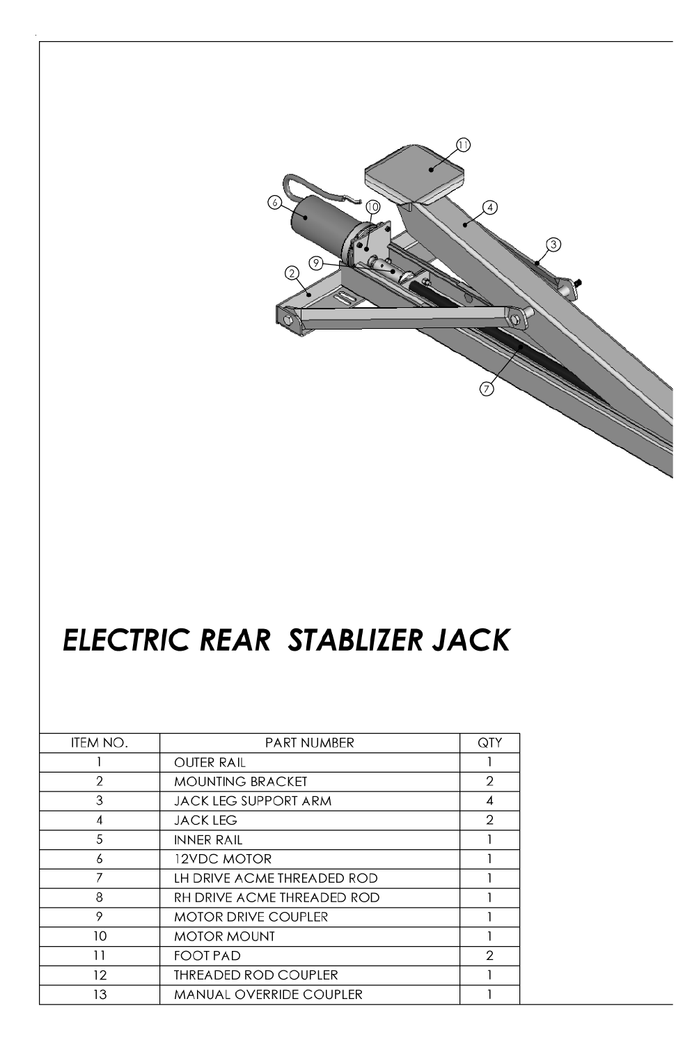

# ELECTRIC REAR STABLIZER JACK

| ITEM NO. | <b>PART NUMBER</b>             | QTY            |
|----------|--------------------------------|----------------|
|          | <b>OUTER RAIL</b>              |                |
| 2        | <b>MOUNTING BRACKET</b>        | $\overline{2}$ |
| 3        | <b>JACK LEG SUPPORT ARM</b>    | 4              |
| 4        | <b>JACK LEG</b>                | 2              |
| 5        | <b>INNER RAIL</b>              |                |
| 6        | <b>12VDC MOTOR</b>             |                |
| 7        | LH DRIVE ACME THREADED ROD     |                |
| 8        | RH DRIVE ACME THREADED ROD     |                |
| 9        | <b>MOTOR DRIVE COUPLER</b>     |                |
| 10       | <b>MOTOR MOUNT</b>             |                |
| 11       | <b>FOOT PAD</b>                | 2              |
| 12       | <b>THREADED ROD COUPLER</b>    |                |
| 13       | <b>MANUAL OVERRIDE COUPLER</b> |                |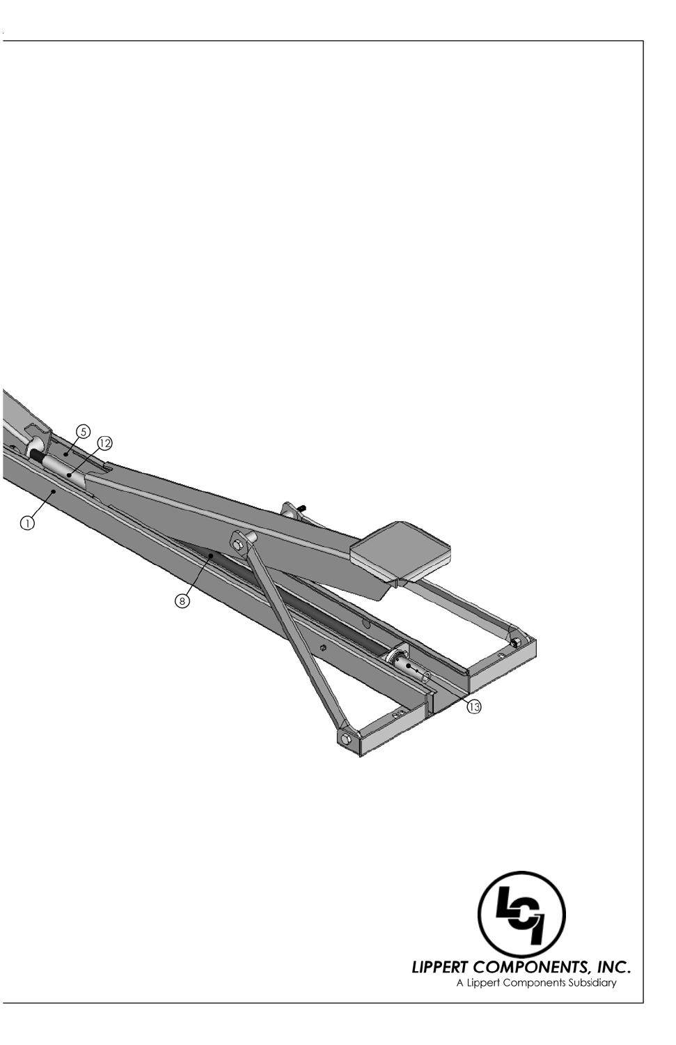